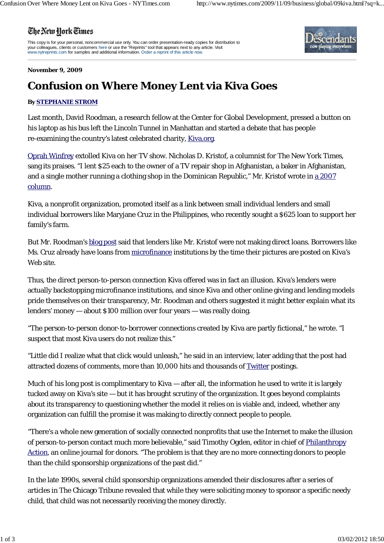## The New York Times

This copy is for your personal, noncommercial use only. You can order presentation-ready copies for distribution to<br>your colleagues, clients or customers here or use the "Reprints" tool that appears next to any article. Vi www.nytreprints.com for samples and additional information. Order a reprint of this article now.



**November 9, 2009**

## **Confusion on Where Money Lent via Kiva Goes**

## **By STEPHANIE STROM**

Last month, David Roodman, a research fellow at the Center for Global Development, pressed a button on his laptop as his bus left the Lincoln Tunnel in Manhattan and started a debate that has people re-examining the country's latest celebrated charity, Kiva.org.

Oprah Winfrey extolled Kiva on her TV show. Nicholas D. Kristof, a columnist for The New York Times, sang its praises. "I lent \$25 each to the owner of a TV repair shop in Afghanistan, a baker in Afghanistan, and a single mother running a clothing shop in the Dominican Republic," Mr. Kristof wrote in a 2007 column.

Kiva, a nonprofit organization, promoted itself as a link between small individual lenders and small individual borrowers like Maryjane Cruz in the Philippines, who recently sought a \$625 loan to support her family's farm.

But Mr. Roodman's blog post said that lenders like Mr. Kristof were not making direct loans. Borrowers like Ms. Cruz already have loans from microfinance institutions by the time their pictures are posted on Kiva's Web site.

Thus, the direct person-to-person connection Kiva offered was in fact an illusion. Kiva's lenders were actually backstopping microfinance institutions, and since Kiva and other online giving and lending models pride themselves on their transparency, Mr. Roodman and others suggested it might better explain what its lenders' money — about \$100 million over four years — was really doing.

"The person-to-person donor-to-borrower connections created by Kiva are partly fictional," he wrote. "I suspect that most Kiva users do not realize this."

"Little did I realize what that click would unleash," he said in an interview, later adding that the post had attracted dozens of comments, more than 10,000 hits and thousands of Twitter postings.

Much of his long post is complimentary to Kiva — after all, the information he used to write it is largely tucked away on Kiva's site — but it has brought scrutiny of the organization. It goes beyond complaints about its transparency to questioning whether the model it relies on is viable and, indeed, whether any organization can fulfill the promise it was making to directly connect people to people.

"There's a whole new generation of socially connected nonprofits that use the Internet to make the illusion of person-to-person contact much more believable," said Timothy Ogden, editor in chief of Philanthropy Action, an online journal for donors. "The problem is that they are no more connecting donors to people than the child sponsorship organizations of the past did."

In the late 1990s, several child sponsorship organizations amended their disclosures after a series of articles in The Chicago Tribune revealed that while they were soliciting money to sponsor a specific needy child, that child was not necessarily receiving the money directly.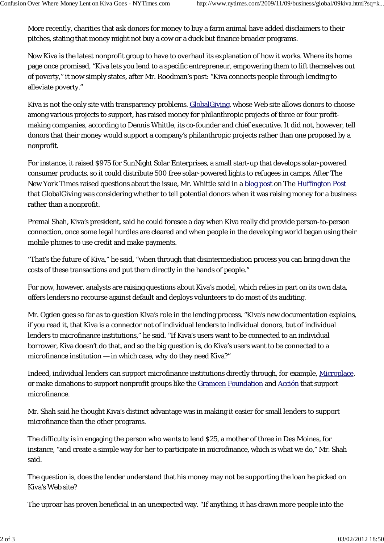More recently, charities that ask donors for money to buy a farm animal have added disclaimers to their pitches, stating that money might not buy a cow or a duck but finance broader programs.

Now Kiva is the latest nonprofit group to have to overhaul its explanation of how it works. Where its home page once promised, "Kiva lets you lend to a specific entrepreneur, empowering them to lift themselves out of poverty," it now simply states, after Mr. Roodman's post: "Kiva connects people through lending to alleviate poverty."

Kiva is not the only site with transparency problems. GlobalGiving, whose Web site allows donors to choose among various projects to support, has raised money for philanthropic projects of three or four profitmaking companies, according to Dennis Whittle, its co-founder and chief executive. It did not, however, tell donors that their money would support a company's philanthropic projects rather than one proposed by a nonprofit.

For instance, it raised \$975 for SunNight Solar Enterprises, a small start-up that develops solar-powered consumer products, so it could distribute 500 free solar-powered lights to refugees in camps. After The New York Times raised questions about the issue, Mr. Whittle said in a blog post on The Huffington Post that GlobalGiving was considering whether to tell potential donors when it was raising money for a business rather than a nonprofit.

Premal Shah, Kiva's president, said he could foresee a day when Kiva really did provide person-to-person connection, once some legal hurdles are cleared and when people in the developing world began using their mobile phones to use credit and make payments.

"That's the future of Kiva," he said, "when through that disintermediation process you can bring down the costs of these transactions and put them directly in the hands of people."

For now, however, analysts are raising questions about Kiva's model, which relies in part on its own data, offers lenders no recourse against default and deploys volunteers to do most of its auditing.

Mr. Ogden goes so far as to question Kiva's role in the lending process. "Kiva's new documentation explains, if you read it, that Kiva is a connector not of individual lenders to individual donors, but of individual lenders to microfinance institutions," he said. "If Kiva's users want to be connected to an individual borrower, Kiva doesn't do that, and so the big question is, do Kiva's users want to be connected to a microfinance institution — in which case, why do they need Kiva?"

Indeed, individual lenders can support microfinance institutions directly through, for example, Microplace, or make donations to support nonprofit groups like the Grameen Foundation and Acción that support microfinance.

Mr. Shah said he thought Kiva's distinct advantage was in making it easier for small lenders to support microfinance than the other programs.

The difficulty is in engaging the person who wants to lend \$25, a mother of three in Des Moines, for instance, "and create a simple way for her to participate in microfinance, which is what we do," Mr. Shah said.

The question is, does the lender understand that his money may not be supporting the loan he picked on Kiva's Web site?

The uproar has proven beneficial in an unexpected way. "If anything, it has drawn more people into the